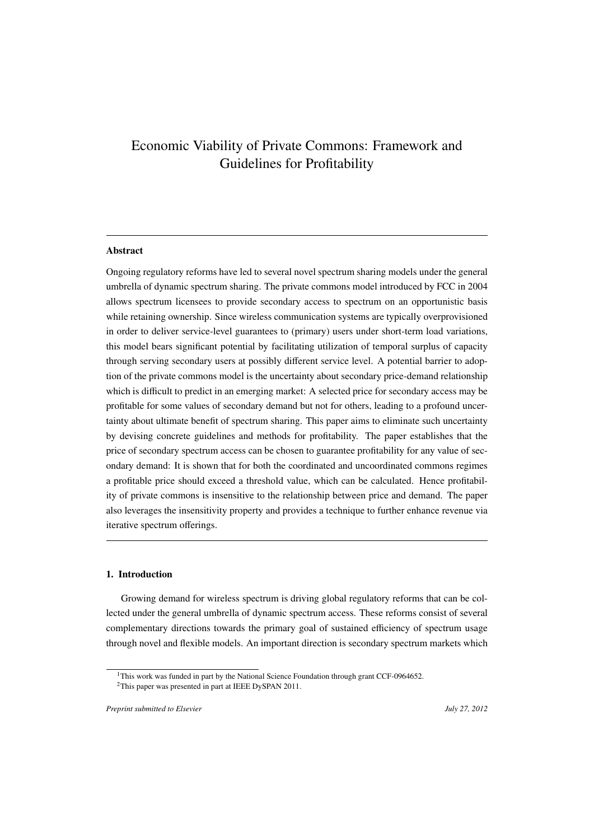# Economic Viability of Private Commons: Framework and Guidelines for Profitability

# **Abstract**

Ongoing regulatory reforms have led to several novel spectrum sharing models under the general umbrella of dynamic spectrum sharing. The private commons model introduced by FCC in 2004 allows spectrum licensees to provide secondary access to spectrum on an opportunistic basis while retaining ownership. Since wireless communication systems are typically overprovisioned in order to deliver service-level guarantees to (primary) users under short-term load variations, this model bears significant potential by facilitating utilization of temporal surplus of capacity through serving secondary users at possibly different service level. A potential barrier to adoption of the private commons model is the uncertainty about secondary price-demand relationship which is difficult to predict in an emerging market: A selected price for secondary access may be profitable for some values of secondary demand but not for others, leading to a profound uncertainty about ultimate benefit of spectrum sharing. This paper aims to eliminate such uncertainty by devising concrete guidelines and methods for profitability. The paper establishes that the price of secondary spectrum access can be chosen to guarantee profitability for any value of secondary demand: It is shown that for both the coordinated and uncoordinated commons regimes a profitable price should exceed a threshold value, which can be calculated. Hence profitability of private commons is insensitive to the relationship between price and demand. The paper also leverages the insensitivity property and provides a technique to further enhance revenue via iterative spectrum offerings.

# 1. Introduction

Growing demand for wireless spectrum is driving global regulatory reforms that can be collected under the general umbrella of dynamic spectrum access. These reforms consist of several complementary directions towards the primary goal of sustained efficiency of spectrum usage through novel and flexible models. An important direction is secondary spectrum markets which

<sup>&</sup>lt;sup>1</sup>This work was funded in part by the National Science Foundation through grant CCF-0964652.

<sup>&</sup>lt;sup>2</sup>This paper was presented in part at IEEE DySPAN 2011.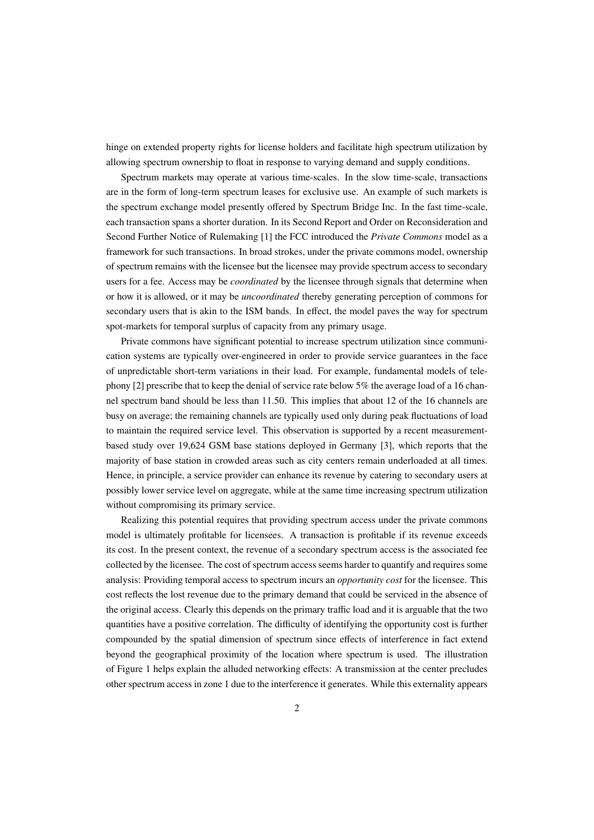hinge on extended property rights for license holders and facilitate high spectrum utilization by allowing spectrum ownership to float in response to varying demand and supply conditions.

Spectrum markets may operate at various time-scales. In the slow time-scale, transactions are in the form of long-term spectrum leases for exclusive use. An example of such markets is the spectrum exchange model presently offered by Spectrum Bridge Inc. In the fast time-scale, each transaction spans a shorter duration. In its Second Report and Order on Reconsideration and Second Further Notice of Rulemaking [1] the FCC introduced the *Private Commons* model as a framework for such transactions. In broad strokes, under the private commons model, ownership of spectrum remains with the licensee but the licensee may provide spectrum access to secondary users for a fee. Access may be *coordinated* by the licensee through signals that determine when or how it is allowed, or it may be *uncoordinated* thereby generating perception of commons for secondary users that is akin to the ISM bands. In effect, the model paves the way for spectrum spot-markets for temporal surplus of capacity from any primary usage.

Private commons have significant potential to increase spectrum utilization since communication systems are typically over-engineered in order to provide service guarantees in the face of unpredictable short-term variations in their load. For example, fundamental models of telephony [2] prescribe that to keep the denial of service rate below 5% the average load of a 16 channel spectrum band should be less than 11.50. This implies that about 12 of the 16 channels are busy on average; the remaining channels are typically used only during peak fluctuations of load to maintain the required service level. This observation is supported by a recent measurementbased study over 19,624 GSM base stations deployed in Germany [3], which reports that the majority of base station in crowded areas such as city centers remain underloaded at all times. Hence, in principle, a service provider can enhance its revenue by catering to secondary users at possibly lower service level on aggregate, while at the same time increasing spectrum utilization without compromising its primary service.

Realizing this potential requires that providing spectrum access under the private commons model is ultimately profitable for licensees. A transaction is profitable if its revenue exceeds its cost. In the present context, the revenue of a secondary spectrum access is the associated fee collected by the licensee. The cost of spectrum access seems harder to quantify and requires some analysis: Providing temporal access to spectrum incurs an *opportunity cost* for the licensee. This cost reflects the lost revenue due to the primary demand that could be serviced in the absence of the original access. Clearly this depends on the primary traffic load and it is arguable that the two quantities have a positive correlation. The difficulty of identifying the opportunity cost is further compounded by the spatial dimension of spectrum since effects of interference in fact extend beyond the geographical proximity of the location where spectrum is used. The illustration of Figure 1 helps explain the alluded networking effects: A transmission at the center precludes other spectrum access in zone 1 due to the interference it generates. While this externality appears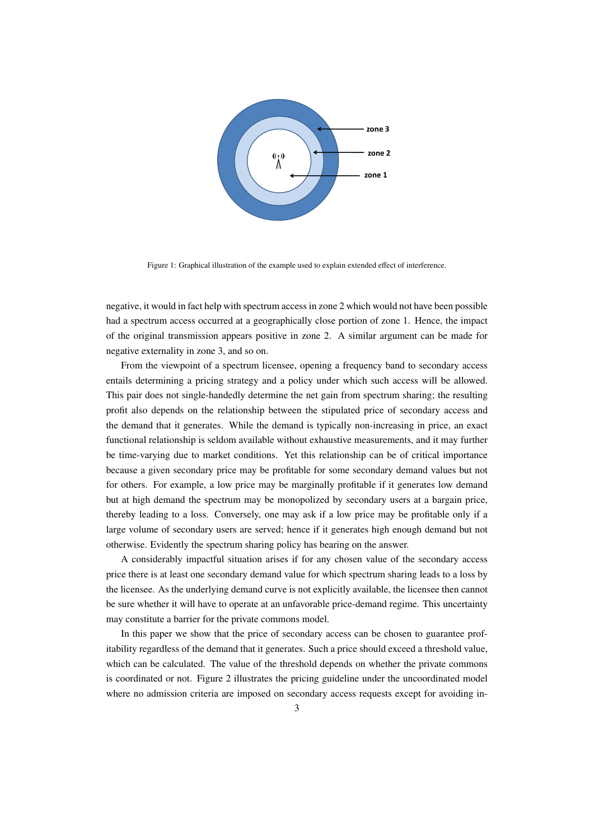

Figure 1: Graphical illustration of the example used to explain extended effect of interference.

negative, it would in fact help with spectrum access in zone 2 which would not have been possible had a spectrum access occurred at a geographically close portion of zone 1. Hence, the impact of the original transmission appears positive in zone 2. A similar argument can be made for negative externality in zone 3, and so on.

From the viewpoint of a spectrum licensee, opening a frequency band to secondary access entails determining a pricing strategy and a policy under which such access will be allowed. This pair does not single-handedly determine the net gain from spectrum sharing; the resulting profit also depends on the relationship between the stipulated price of secondary access and the demand that it generates. While the demand is typically non-increasing in price, an exact functional relationship is seldom available without exhaustive measurements, and it may further be time-varying due to market conditions. Yet this relationship can be of critical importance because a given secondary price may be profitable for some secondary demand values but not for others. For example, a low price may be marginally profitable if it generates low demand but at high demand the spectrum may be monopolized by secondary users at a bargain price, thereby leading to a loss. Conversely, one may ask if a low price may be profitable only if a large volume of secondary users are served; hence if it generates high enough demand but not otherwise. Evidently the spectrum sharing policy has bearing on the answer.

A considerably impactful situation arises if for any chosen value of the secondary access price there is at least one secondary demand value for which spectrum sharing leads to a loss by the licensee. As the underlying demand curve is not explicitly available, the licensee then cannot be sure whether it will have to operate at an unfavorable price-demand regime. This uncertainty may constitute a barrier for the private commons model.

In this paper we show that the price of secondary access can be chosen to guarantee profitability regardless of the demand that it generates. Such a price should exceed a threshold value, which can be calculated. The value of the threshold depends on whether the private commons is coordinated or not. Figure 2 illustrates the pricing guideline under the uncoordinated model where no admission criteria are imposed on secondary access requests except for avoiding in-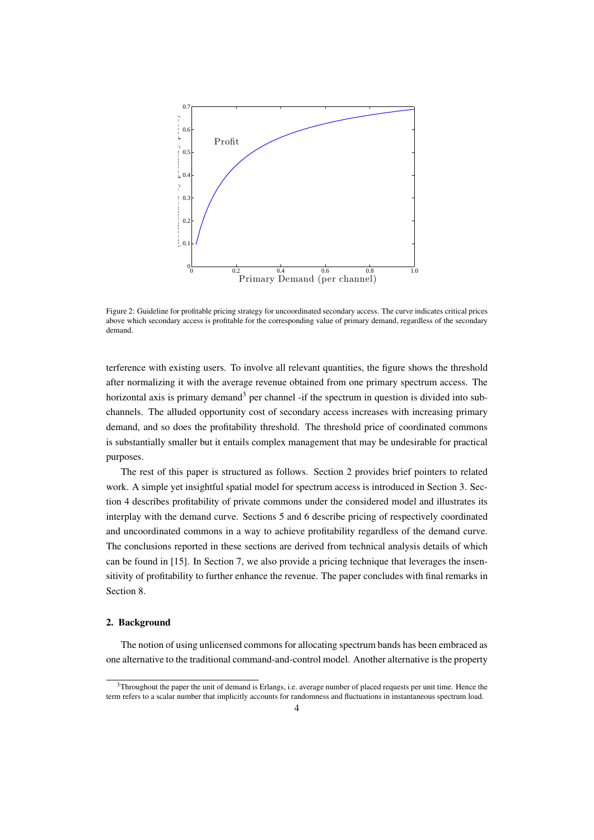

Figure 2: Guideline for profitable pricing strategy for uncoordinated secondary access. The curve indicates critical prices above which secondary access is profitable for the corresponding value of primary demand, regardless of the secondary demand.

terference with existing users. To involve all relevant quantities, the figure shows the threshold after normalizing it with the average revenue obtained from one primary spectrum access. The horizontal axis is primary demand<sup>3</sup> per channel -if the spectrum in question is divided into subchannels. The alluded opportunity cost of secondary access increases with increasing primary demand, and so does the profitability threshold. The threshold price of coordinated commons is substantially smaller but it entails complex management that may be undesirable for practical purposes.

The rest of this paper is structured as follows. Section 2 provides brief pointers to related work. A simple yet insightful spatial model for spectrum access is introduced in Section 3. Section 4 describes profitability of private commons under the considered model and illustrates its interplay with the demand curve. Sections 5 and 6 describe pricing of respectively coordinated and uncoordinated commons in a way to achieve profitability regardless of the demand curve. The conclusions reported in these sections are derived from technical analysis details of which can be found in [15]. In Section 7, we also provide a pricing technique that leverages the insensitivity of profitability to further enhance the revenue. The paper concludes with final remarks in Section 8.

#### 2. Background

The notion of using unlicensed commons for allocating spectrum bands has been embraced as one alternative to the traditional command-and-control model. Another alternative is the property

<sup>3</sup>Throughout the paper the unit of demand is Erlangs, i.e. average number of placed requests per unit time. Hence the term refers to a scalar number that implicitly accounts for randomness and fluctuations in instantaneous spectrum load.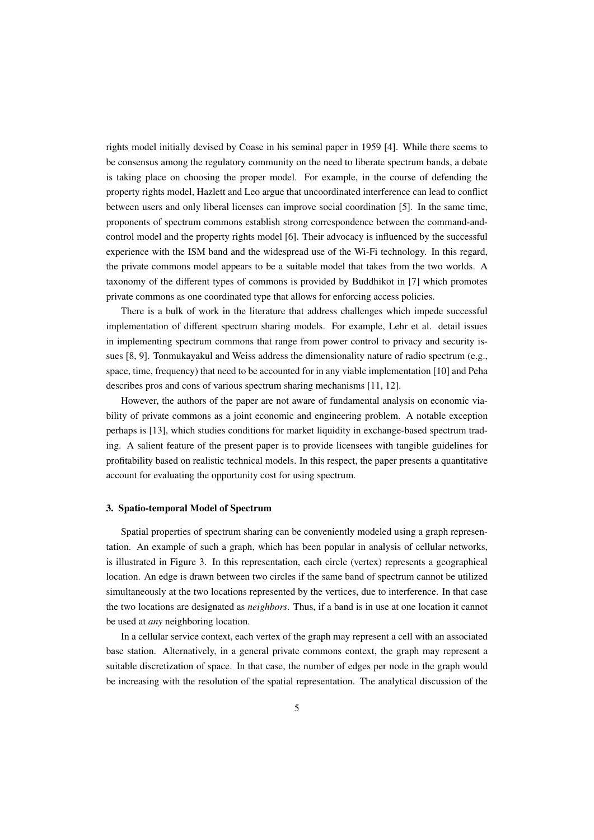rights model initially devised by Coase in his seminal paper in 1959 [4]. While there seems to be consensus among the regulatory community on the need to liberate spectrum bands, a debate is taking place on choosing the proper model. For example, in the course of defending the property rights model, Hazlett and Leo argue that uncoordinated interference can lead to conflict between users and only liberal licenses can improve social coordination [5]. In the same time, proponents of spectrum commons establish strong correspondence between the command-andcontrol model and the property rights model [6]. Their advocacy is influenced by the successful experience with the ISM band and the widespread use of the Wi-Fi technology. In this regard, the private commons model appears to be a suitable model that takes from the two worlds. A taxonomy of the different types of commons is provided by Buddhikot in [7] which promotes private commons as one coordinated type that allows for enforcing access policies.

There is a bulk of work in the literature that address challenges which impede successful implementation of different spectrum sharing models. For example, Lehr et al. detail issues in implementing spectrum commons that range from power control to privacy and security issues [8, 9]. Tonmukayakul and Weiss address the dimensionality nature of radio spectrum (e.g., space, time, frequency) that need to be accounted for in any viable implementation [10] and Peha describes pros and cons of various spectrum sharing mechanisms [11, 12].

However, the authors of the paper are not aware of fundamental analysis on economic viability of private commons as a joint economic and engineering problem. A notable exception perhaps is [13], which studies conditions for market liquidity in exchange-based spectrum trading. A salient feature of the present paper is to provide licensees with tangible guidelines for profitability based on realistic technical models. In this respect, the paper presents a quantitative account for evaluating the opportunity cost for using spectrum.

#### 3. Spatio-temporal Model of Spectrum

Spatial properties of spectrum sharing can be conveniently modeled using a graph representation. An example of such a graph, which has been popular in analysis of cellular networks, is illustrated in Figure 3. In this representation, each circle (vertex) represents a geographical location. An edge is drawn between two circles if the same band of spectrum cannot be utilized simultaneously at the two locations represented by the vertices, due to interference. In that case the two locations are designated as *neighbors*. Thus, if a band is in use at one location it cannot be used at *any* neighboring location.

In a cellular service context, each vertex of the graph may represent a cell with an associated base station. Alternatively, in a general private commons context, the graph may represent a suitable discretization of space. In that case, the number of edges per node in the graph would be increasing with the resolution of the spatial representation. The analytical discussion of the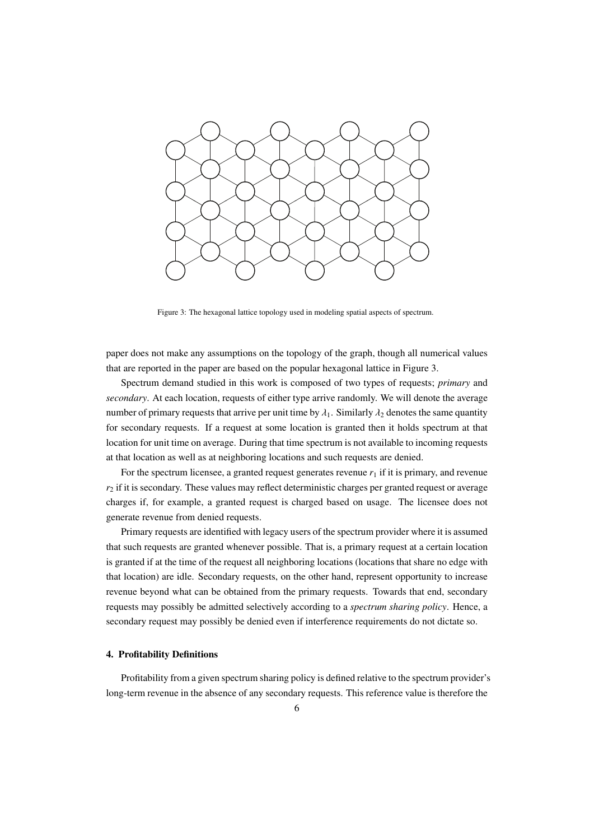

Figure 3: The hexagonal lattice topology used in modeling spatial aspects of spectrum.

paper does not make any assumptions on the topology of the graph, though all numerical values that are reported in the paper are based on the popular hexagonal lattice in Figure 3.

Spectrum demand studied in this work is composed of two types of requests; *primary* and *secondary*. At each location, requests of either type arrive randomly. We will denote the average number of primary requests that arrive per unit time by  $\lambda_1$ . Similarly  $\lambda_2$  denotes the same quantity for secondary requests. If a request at some location is granted then it holds spectrum at that location for unit time on average. During that time spectrum is not available to incoming requests at that location as well as at neighboring locations and such requests are denied.

For the spectrum licensee, a granted request generates revenue  $r_1$  if it is primary, and revenue  $r<sub>2</sub>$  if it is secondary. These values may reflect deterministic charges per granted request or average charges if, for example, a granted request is charged based on usage. The licensee does not generate revenue from denied requests.

Primary requests are identified with legacy users of the spectrum provider where it is assumed that such requests are granted whenever possible. That is, a primary request at a certain location is granted if at the time of the request all neighboring locations (locations that share no edge with that location) are idle. Secondary requests, on the other hand, represent opportunity to increase revenue beyond what can be obtained from the primary requests. Towards that end, secondary requests may possibly be admitted selectively according to a *spectrum sharing policy*. Hence, a secondary request may possibly be denied even if interference requirements do not dictate so.

# 4. Profitability Definitions

Profitability from a given spectrum sharing policy is defined relative to the spectrum provider's long-term revenue in the absence of any secondary requests. This reference value is therefore the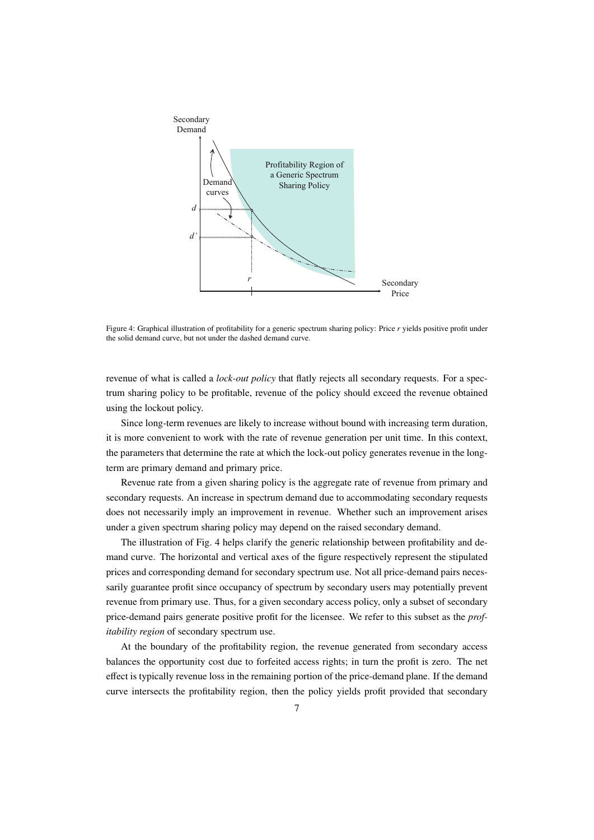

Figure 4: Graphical illustration of profitability for a generic spectrum sharing policy: Price *r* yields positive profit under the solid demand curve, but not under the dashed demand curve.

revenue of what is called a *lock-out policy* that flatly rejects all secondary requests. For a spectrum sharing policy to be profitable, revenue of the policy should exceed the revenue obtained using the lockout policy.

Since long-term revenues are likely to increase without bound with increasing term duration, it is more convenient to work with the rate of revenue generation per unit time. In this context, the parameters that determine the rate at which the lock-out policy generates revenue in the longterm are primary demand and primary price.

Revenue rate from a given sharing policy is the aggregate rate of revenue from primary and secondary requests. An increase in spectrum demand due to accommodating secondary requests does not necessarily imply an improvement in revenue. Whether such an improvement arises under a given spectrum sharing policy may depend on the raised secondary demand.

The illustration of Fig. 4 helps clarify the generic relationship between profitability and demand curve. The horizontal and vertical axes of the figure respectively represent the stipulated prices and corresponding demand for secondary spectrum use. Not all price-demand pairs necessarily guarantee profit since occupancy of spectrum by secondary users may potentially prevent revenue from primary use. Thus, for a given secondary access policy, only a subset of secondary price-demand pairs generate positive profit for the licensee. We refer to this subset as the *profitability region* of secondary spectrum use.

At the boundary of the profitability region, the revenue generated from secondary access balances the opportunity cost due to forfeited access rights; in turn the profit is zero. The net effect is typically revenue loss in the remaining portion of the price-demand plane. If the demand curve intersects the profitability region, then the policy yields profit provided that secondary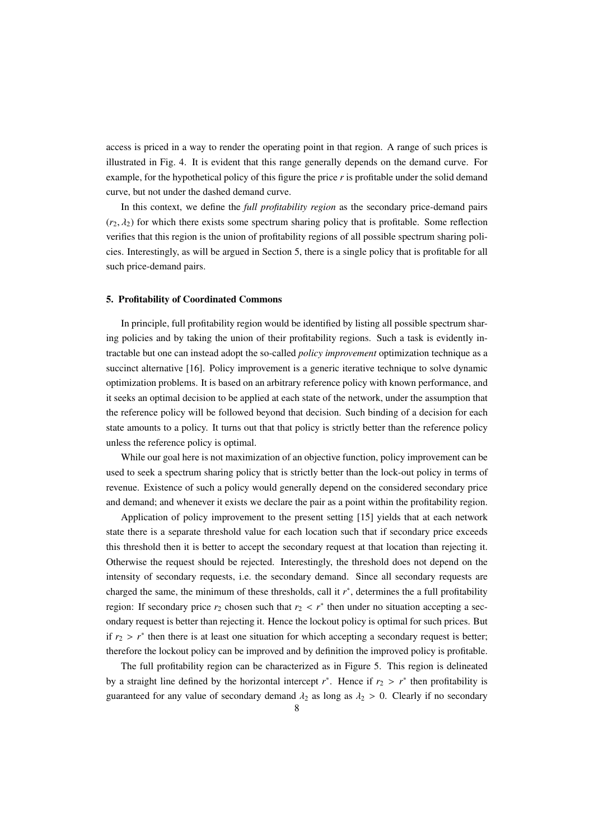access is priced in a way to render the operating point in that region. A range of such prices is illustrated in Fig. 4. It is evident that this range generally depends on the demand curve. For example, for the hypothetical policy of this figure the price *r* is profitable under the solid demand curve, but not under the dashed demand curve.

In this context, we define the *full profitability region* as the secondary price-demand pairs  $(r_2, \lambda_2)$  for which there exists some spectrum sharing policy that is profitable. Some reflection verifies that this region is the union of profitability regions of all possible spectrum sharing policies. Interestingly, as will be argued in Section 5, there is a single policy that is profitable for all such price-demand pairs.

# 5. Profitability of Coordinated Commons

In principle, full profitability region would be identified by listing all possible spectrum sharing policies and by taking the union of their profitability regions. Such a task is evidently intractable but one can instead adopt the so-called *policy improvement* optimization technique as a succinct alternative [16]. Policy improvement is a generic iterative technique to solve dynamic optimization problems. It is based on an arbitrary reference policy with known performance, and it seeks an optimal decision to be applied at each state of the network, under the assumption that the reference policy will be followed beyond that decision. Such binding of a decision for each state amounts to a policy. It turns out that that policy is strictly better than the reference policy unless the reference policy is optimal.

While our goal here is not maximization of an objective function, policy improvement can be used to seek a spectrum sharing policy that is strictly better than the lock-out policy in terms of revenue. Existence of such a policy would generally depend on the considered secondary price and demand; and whenever it exists we declare the pair as a point within the profitability region.

Application of policy improvement to the present setting [15] yields that at each network state there is a separate threshold value for each location such that if secondary price exceeds this threshold then it is better to accept the secondary request at that location than rejecting it. Otherwise the request should be rejected. Interestingly, the threshold does not depend on the intensity of secondary requests, i.e. the secondary demand. Since all secondary requests are charged the same, the minimum of these thresholds, call it *r* ∗ , determines the a full profitability region: If secondary price  $r_2$  chosen such that  $r_2 < r^*$  then under no situation accepting a secondary request is better than rejecting it. Hence the lockout policy is optimal for such prices. But if  $r_2 > r^*$  then there is at least one situation for which accepting a secondary request is better; therefore the lockout policy can be improved and by definition the improved policy is profitable.

The full profitability region can be characterized as in Figure 5. This region is delineated by a straight line defined by the horizontal intercept  $r^*$ . Hence if  $r_2 > r^*$  then profitability is guaranteed for any value of secondary demand  $\lambda_2$  as long as  $\lambda_2 > 0$ . Clearly if no secondary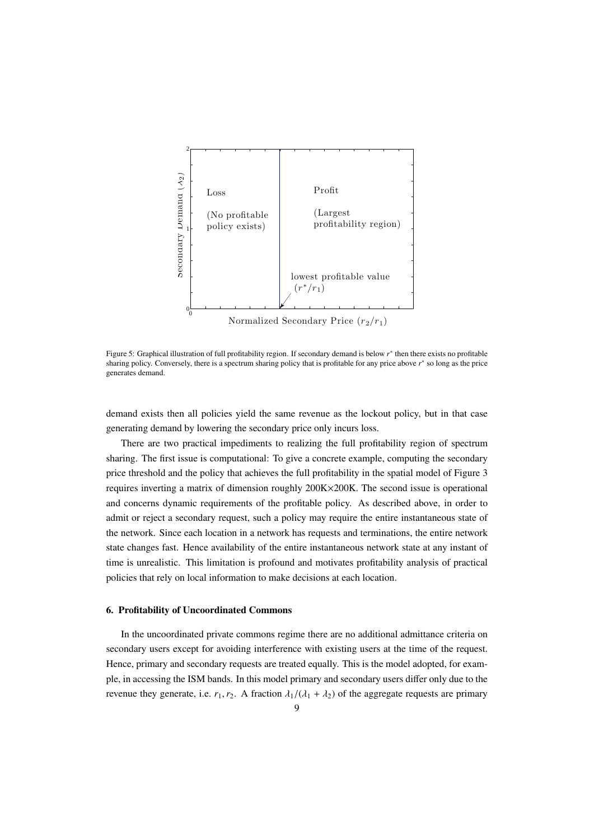

Normalized Secondary Price  $(r_2/r_1)$ 

Figure 5: Graphical illustration of full profitability region. If secondary demand is below *r* ∗ then there exists no profitable sharing policy. Conversely, there is a spectrum sharing policy that is profitable for any price above *r* ∗ so long as the price generates demand.

demand exists then all policies yield the same revenue as the lockout policy, but in that case generating demand by lowering the secondary price only incurs loss.

There are two practical impediments to realizing the full profitability region of spectrum sharing. The first issue is computational: To give a concrete example, computing the secondary price threshold and the policy that achieves the full profitability in the spatial model of Figure 3 requires inverting a matrix of dimension roughly 200K×200K. The second issue is operational and concerns dynamic requirements of the profitable policy. As described above, in order to admit or reject a secondary request, such a policy may require the entire instantaneous state of the network. Since each location in a network has requests and terminations, the entire network state changes fast. Hence availability of the entire instantaneous network state at any instant of time is unrealistic. This limitation is profound and motivates profitability analysis of practical policies that rely on local information to make decisions at each location.

#### 6. Profitability of Uncoordinated Commons

In the uncoordinated private commons regime there are no additional admittance criteria on secondary users except for avoiding interference with existing users at the time of the request. Hence, primary and secondary requests are treated equally. This is the model adopted, for example, in accessing the ISM bands. In this model primary and secondary users differ only due to the revenue they generate, i.e.  $r_1, r_2$ . A fraction  $\lambda_1/(\lambda_1 + \lambda_2)$  of the aggregate requests are primary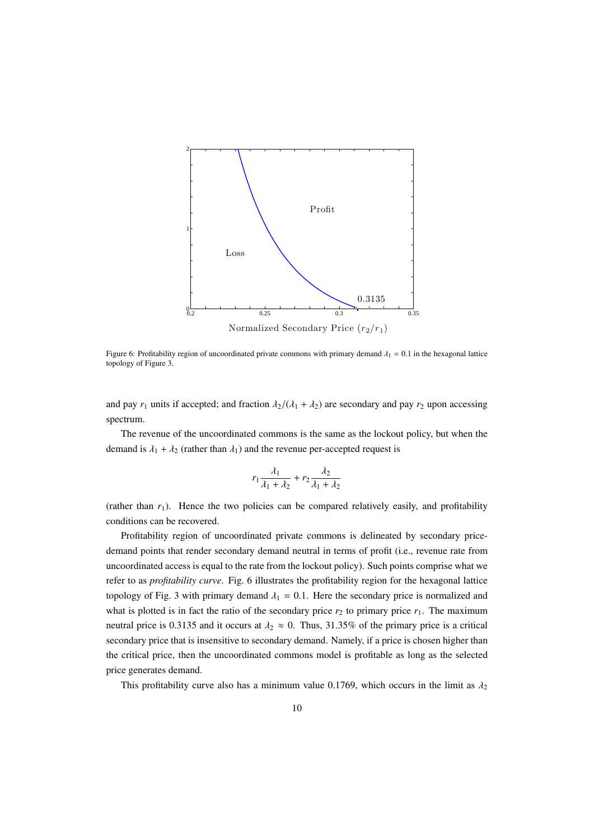

Normalized Secondary Price  $(r_2/r_1)$ 

Figure 6: Profitability region of uncoordinated private commons with primary demand  $\lambda_1 = 0.1$  in the hexagonal lattice topology of Figure 3.

and pay  $r_1$  units if accepted; and fraction  $\lambda_2/(\lambda_1 + \lambda_2)$  are secondary and pay  $r_2$  upon accessing spectrum.

The revenue of the uncoordinated commons is the same as the lockout policy, but when the demand is  $\lambda_1 + \lambda_2$  (rather than  $\lambda_1$ ) and the revenue per-accepted request is

$$
r_1\frac{\lambda_1}{\lambda_1+\lambda_2}+r_2\frac{\lambda_2}{\lambda_1+\lambda_2}
$$

(rather than  $r_1$ ). Hence the two policies can be compared relatively easily, and profitability conditions can be recovered.

Profitability region of uncoordinated private commons is delineated by secondary pricedemand points that render secondary demand neutral in terms of profit (i.e., revenue rate from uncoordinated access is equal to the rate from the lockout policy). Such points comprise what we refer to as *profitability curve*. Fig. 6 illustrates the profitability region for the hexagonal lattice topology of Fig. 3 with primary demand  $\lambda_1 = 0.1$ . Here the secondary price is normalized and what is plotted is in fact the ratio of the secondary price  $r_2$  to primary price  $r_1$ . The maximum neutral price is 0.3135 and it occurs at  $\lambda_2 \approx 0$ . Thus, 31.35% of the primary price is a critical secondary price that is insensitive to secondary demand. Namely, if a price is chosen higher than the critical price, then the uncoordinated commons model is profitable as long as the selected price generates demand.

This profitability curve also has a minimum value 0.1769, which occurs in the limit as  $\lambda_2$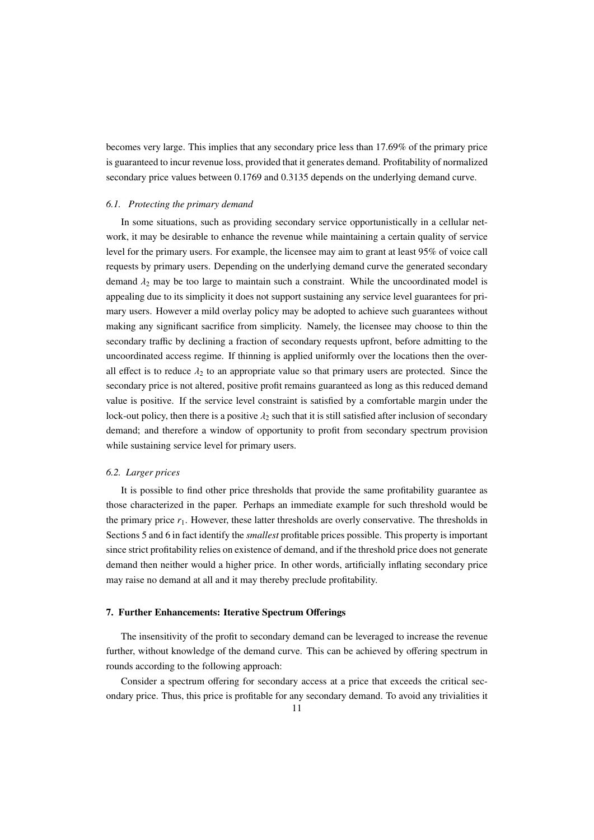becomes very large. This implies that any secondary price less than 17.69% of the primary price is guaranteed to incur revenue loss, provided that it generates demand. Profitability of normalized secondary price values between 0.1769 and 0.3135 depends on the underlying demand curve.

## *6.1. Protecting the primary demand*

In some situations, such as providing secondary service opportunistically in a cellular network, it may be desirable to enhance the revenue while maintaining a certain quality of service level for the primary users. For example, the licensee may aim to grant at least 95% of voice call requests by primary users. Depending on the underlying demand curve the generated secondary demand  $\lambda_2$  may be too large to maintain such a constraint. While the uncoordinated model is appealing due to its simplicity it does not support sustaining any service level guarantees for primary users. However a mild overlay policy may be adopted to achieve such guarantees without making any significant sacrifice from simplicity. Namely, the licensee may choose to thin the secondary traffic by declining a fraction of secondary requests upfront, before admitting to the uncoordinated access regime. If thinning is applied uniformly over the locations then the overall effect is to reduce  $\lambda_2$  to an appropriate value so that primary users are protected. Since the secondary price is not altered, positive profit remains guaranteed as long as this reduced demand value is positive. If the service level constraint is satisfied by a comfortable margin under the lock-out policy, then there is a positive  $\lambda_2$  such that it is still satisfied after inclusion of secondary demand; and therefore a window of opportunity to profit from secondary spectrum provision while sustaining service level for primary users.

## *6.2. Larger prices*

It is possible to find other price thresholds that provide the same profitability guarantee as those characterized in the paper. Perhaps an immediate example for such threshold would be the primary price  $r_1$ . However, these latter thresholds are overly conservative. The thresholds in Sections 5 and 6 in fact identify the *smallest* profitable prices possible. This property is important since strict profitability relies on existence of demand, and if the threshold price does not generate demand then neither would a higher price. In other words, artificially inflating secondary price may raise no demand at all and it may thereby preclude profitability.

# 7. Further Enhancements: Iterative Spectrum Offerings

The insensitivity of the profit to secondary demand can be leveraged to increase the revenue further, without knowledge of the demand curve. This can be achieved by offering spectrum in rounds according to the following approach:

Consider a spectrum offering for secondary access at a price that exceeds the critical secondary price. Thus, this price is profitable for any secondary demand. To avoid any trivialities it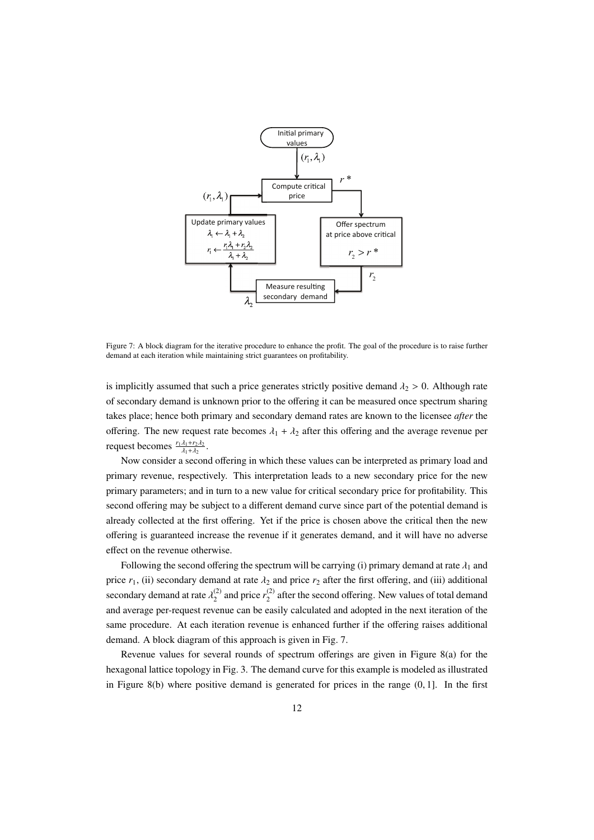

Figure 7: A block diagram for the iterative procedure to enhance the profit. The goal of the procedure is to raise further demand at each iteration while maintaining strict guarantees on profitability.

is implicitly assumed that such a price generates strictly positive demand  $\lambda_2 > 0$ . Although rate of secondary demand is unknown prior to the offering it can be measured once spectrum sharing takes place; hence both primary and secondary demand rates are known to the licensee *after* the offering. The new request rate becomes  $\lambda_1 + \lambda_2$  after this offering and the average revenue per request becomes  $\frac{r_1 \lambda_1 + r_2 \lambda_2}{\lambda_1 + \lambda_2}$ .

Now consider a second offering in which these values can be interpreted as primary load and primary revenue, respectively. This interpretation leads to a new secondary price for the new primary parameters; and in turn to a new value for critical secondary price for profitability. This second offering may be subject to a different demand curve since part of the potential demand is already collected at the first offering. Yet if the price is chosen above the critical then the new offering is guaranteed increase the revenue if it generates demand, and it will have no adverse effect on the revenue otherwise.

Following the second offering the spectrum will be carrying (i) primary demand at rate  $\lambda_1$  and price  $r_1$ , (ii) secondary demand at rate  $\lambda_2$  and price  $r_2$  after the first offering, and (iii) additional secondary demand at rate  $\lambda_2^{(2)}$  $r_2^{(2)}$  and price  $r_2^{(2)}$  $\frac{1}{2}$  after the second offering. New values of total demand and average per-request revenue can be easily calculated and adopted in the next iteration of the same procedure. At each iteration revenue is enhanced further if the offering raises additional demand. A block diagram of this approach is given in Fig. 7.

Revenue values for several rounds of spectrum offerings are given in Figure 8(a) for the hexagonal lattice topology in Fig. 3. The demand curve for this example is modeled as illustrated in Figure 8(b) where positive demand is generated for prices in the range  $(0, 1)$ . In the first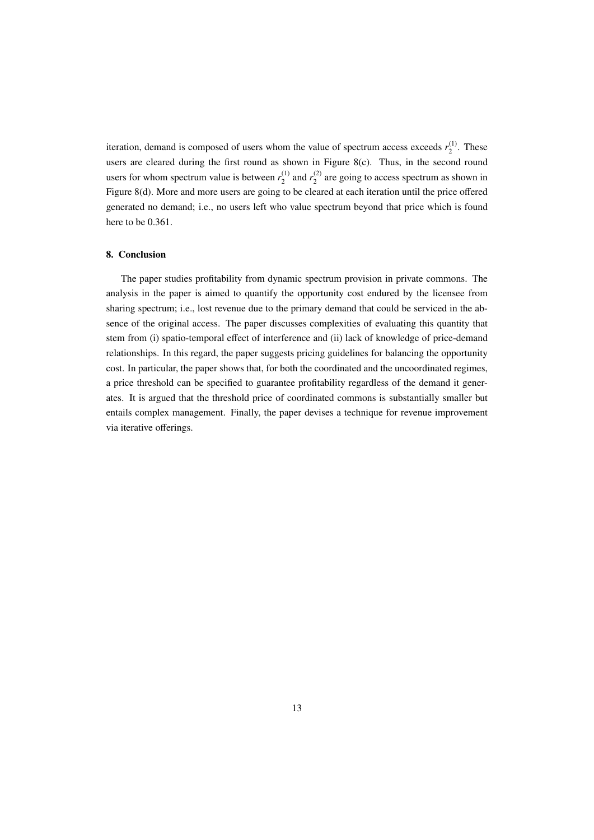iteration, demand is composed of users whom the value of spectrum access exceeds  $r_2^{(1)}$  $\frac{1}{2}$ . These users are cleared during the first round as shown in Figure 8(c). Thus, in the second round users for whom spectrum value is between  $r_2^{(1)}$  $r_2^{(1)}$  and  $r_2^{(2)}$  $_2^{(2)}$  are going to access spectrum as shown in Figure 8(d). More and more users are going to be cleared at each iteration until the price offered generated no demand; i.e., no users left who value spectrum beyond that price which is found here to be 0.361.

## 8. Conclusion

The paper studies profitability from dynamic spectrum provision in private commons. The analysis in the paper is aimed to quantify the opportunity cost endured by the licensee from sharing spectrum; i.e., lost revenue due to the primary demand that could be serviced in the absence of the original access. The paper discusses complexities of evaluating this quantity that stem from (i) spatio-temporal effect of interference and (ii) lack of knowledge of price-demand relationships. In this regard, the paper suggests pricing guidelines for balancing the opportunity cost. In particular, the paper shows that, for both the coordinated and the uncoordinated regimes, a price threshold can be specified to guarantee profitability regardless of the demand it generates. It is argued that the threshold price of coordinated commons is substantially smaller but entails complex management. Finally, the paper devises a technique for revenue improvement via iterative offerings.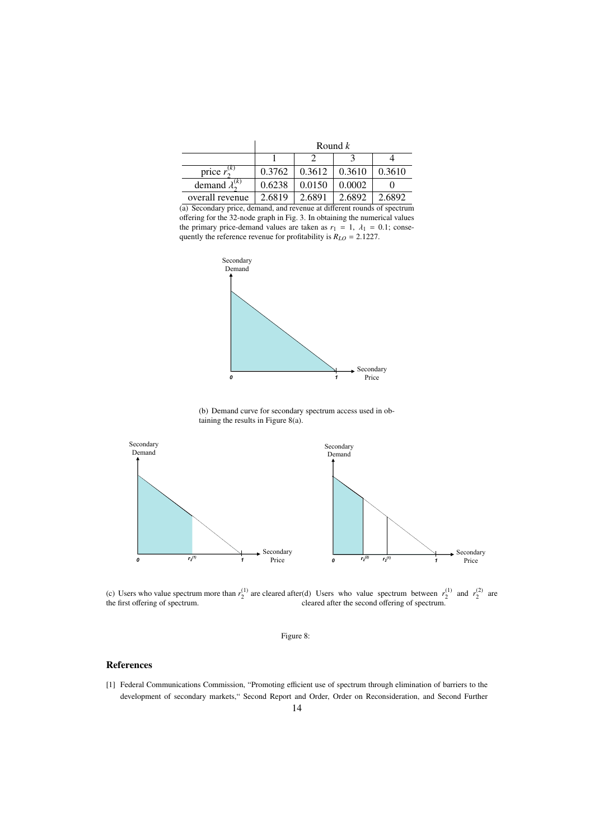|                            | Round $k$ |        |        |        |
|----------------------------|-----------|--------|--------|--------|
|                            |           |        |        |        |
| price $r_2^{(k)}$          | 0.3762    | 0.3612 | 0.3610 | 0.3610 |
| demand $\lambda_{2}^{(k)}$ | 0.6238    | 0.0150 | 0.0002 |        |
| overall revenue            | 2.6819    | 2.6891 | 2.6892 | 2.6892 |

(a) Secondary price, demand, and revenue at different rounds of spectrum offering for the 32-node graph in Fig. 3. In obtaining the numerical values the primary price-demand values are taken as  $r_1 = 1$ ,  $\lambda_1 = 0.1$ ; consequently the reference revenue for profitability is  $R_{LO} = 2.1227$ .



(b) Demand curve for secondary spectrum access used in obtaining the results in Figure 8(a).



(c) Users who value spectrum more than  $r_2^{(1)}$  are cleared after the first offering of spectrum. (d) Users who value spectrum between  $r_2^{(1)}$  and  $r_2^{(2)}$  are cleared after the second offering of spectrum.



# References

[1] Federal Communications Commission, "Promoting efficient use of spectrum through elimination of barriers to the development of secondary markets," Second Report and Order, Order on Reconsideration, and Second Further